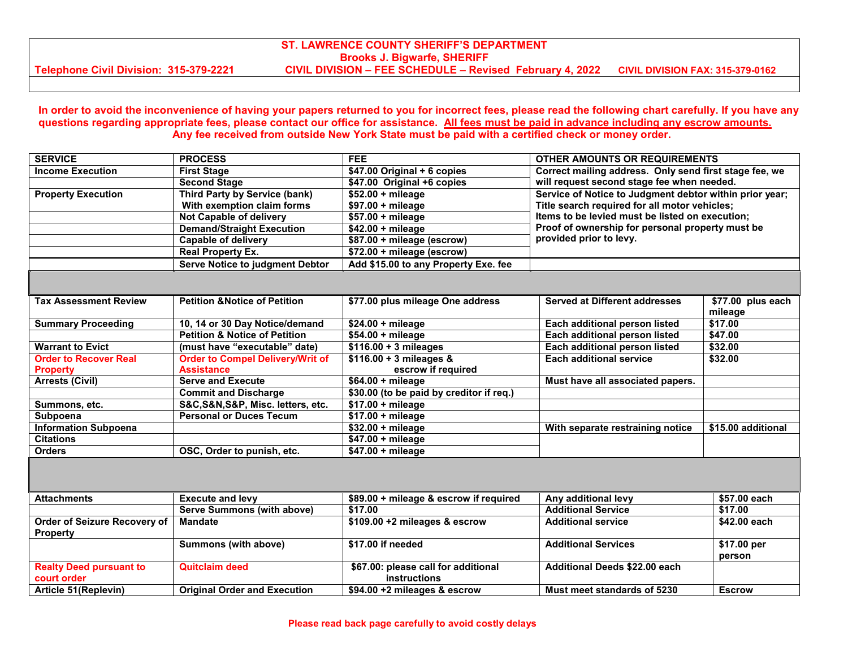## **ST. LAWRENCE COUNTY SHERIFF'S DEPARTMENT Brooks J. Bigwarfe, SHERIFF Telephone Civil Division: 315-379-2221 CIVIL DIVISION – FEE SCHEDULE – Revised February 4, 2022 CIVIL DIVISION FAX: 315-379-0162**

### **In order to avoid the inconvenience of having your papers returned to you for incorrect fees, please read the following chart carefully. If you have any questions regarding appropriate fees, please contact our office for assistance. All fees must be paid in advance including any escrow amounts. Any fee received from outside New York State must be paid with a certified check or money order.**

| <b>SERVICE</b>                                  | <b>PROCESS</b>                           | <b>FEE</b>                                                 | <b>OTHER AMOUNTS OR REQUIREMENTS</b>                                                                     |                              |
|-------------------------------------------------|------------------------------------------|------------------------------------------------------------|----------------------------------------------------------------------------------------------------------|------------------------------|
| <b>Income Execution</b>                         | <b>First Stage</b>                       | $$47.00$ Original + 6 copies                               | Correct mailing address. Only send first stage fee, we                                                   |                              |
|                                                 | <b>Second Stage</b>                      | \$47.00 Original +6 copies                                 | will request second stage fee when needed.                                                               |                              |
| <b>Property Execution</b>                       | Third Party by Service (bank)            | $$52.00 + mileage$                                         | Service of Notice to Judgment debtor within prior year;<br>Title search required for all motor vehicles; |                              |
|                                                 | With exemption claim forms               | $$97.00 + mileage$                                         |                                                                                                          |                              |
|                                                 | Not Capable of delivery                  | $$57.00 + mileage$                                         | Items to be levied must be listed on execution;                                                          |                              |
|                                                 | <b>Demand/Straight Execution</b>         | $$42.00 + mileage$                                         | Proof of ownership for personal property must be<br>provided prior to levy.                              |                              |
|                                                 | <b>Capable of delivery</b>               | \$87.00 + mileage (escrow)                                 |                                                                                                          |                              |
|                                                 | <b>Real Property Ex.</b>                 | \$72.00 + mileage (escrow)                                 |                                                                                                          |                              |
|                                                 | <b>Serve Notice to judgment Debtor</b>   | Add \$15.00 to any Property Exe. fee                       |                                                                                                          |                              |
|                                                 |                                          |                                                            |                                                                                                          |                              |
| <b>Tax Assessment Review</b>                    | <b>Petition &amp; Notice of Petition</b> | \$77.00 plus mileage One address                           | <b>Served at Different addresses</b>                                                                     | \$77.00 plus each<br>mileage |
| <b>Summary Proceeding</b>                       | 10, 14 or 30 Day Notice/demand           | $$24.00 + mileage$                                         | Each additional person listed                                                                            | \$17.00                      |
|                                                 | <b>Petition &amp; Notice of Petition</b> | $$54.00 + mileage$                                         | Each additional person listed                                                                            | \$47.00                      |
| <b>Warrant to Evict</b>                         | (must have "executable" date)            | $$116.00 + 3$ mileages                                     | Each additional person listed                                                                            | \$32.00                      |
| <b>Order to Recover Real</b>                    | <b>Order to Compel Delivery/Writ of</b>  | $$116.00 + 3$ mileages &                                   | <b>Each additional service</b>                                                                           | \$32.00                      |
| <b>Property</b>                                 | <b>Assistance</b>                        | escrow if required                                         |                                                                                                          |                              |
| <b>Arrests (Civil)</b>                          | <b>Serve and Execute</b>                 | $$64.00 + mileage$                                         | Must have all associated papers.                                                                         |                              |
|                                                 | <b>Commit and Discharge</b>              | \$30.00 (to be paid by creditor if req.)                   |                                                                                                          |                              |
| Summons, etc.                                   | S&C,S&N,S&P, Misc. letters, etc.         | \$17.00 + mileage                                          |                                                                                                          |                              |
| Subpoena                                        | <b>Personal or Duces Tecum</b>           | $$17.00 + mileage$                                         |                                                                                                          |                              |
| <b>Information Subpoena</b>                     |                                          | $$32.00 + mileage$                                         | With separate restraining notice                                                                         | \$15.00 additional           |
| <b>Citations</b>                                |                                          | $$47.00 + mileage$                                         |                                                                                                          |                              |
| <b>Orders</b>                                   | OSC, Order to punish, etc.               | $$47.00 + mileage$                                         |                                                                                                          |                              |
|                                                 |                                          |                                                            |                                                                                                          |                              |
| <b>Attachments</b>                              | <b>Execute and levy</b>                  | \$89.00 + mileage & escrow if required                     | Any additional levy                                                                                      | \$57.00 each                 |
|                                                 | <b>Serve Summons (with above)</b>        | \$17.00                                                    | <b>Additional Service</b>                                                                                | \$17.00                      |
| Order of Seizure Recovery of<br><b>Property</b> | <b>Mandate</b>                           | \$109.00 +2 mileages & escrow                              | <b>Additional service</b>                                                                                | \$42.00 each                 |
|                                                 | Summons (with above)                     | \$17.00 if needed                                          | <b>Additional Services</b>                                                                               | \$17.00 per<br>person        |
| <b>Realty Deed pursuant to</b><br>court order   | <b>Quitclaim deed</b>                    | \$67.00: please call for additional<br><b>instructions</b> | <b>Additional Deeds \$22.00 each</b>                                                                     |                              |
| Article 51(Replevin)                            | <b>Original Order and Execution</b>      | \$94.00 +2 mileages & escrow                               | Must meet standards of 5230                                                                              | <b>Escrow</b>                |
|                                                 |                                          |                                                            |                                                                                                          |                              |